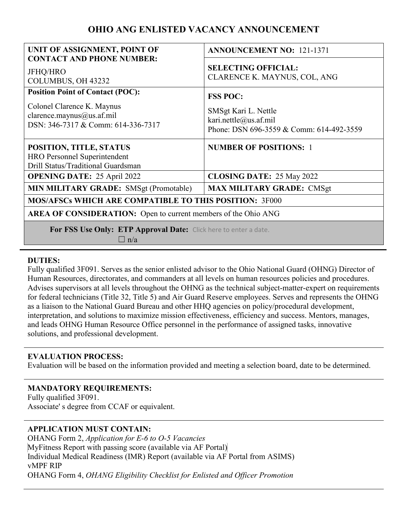# **OHIO ANG ENLISTED VACANCY ANNOUNCEMENT**

| UNIT OF ASSIGNMENT, POINT OF                                                                         | <b>ANNOUNCEMENT NO: 121-1371</b>                                                          |
|------------------------------------------------------------------------------------------------------|-------------------------------------------------------------------------------------------|
| <b>CONTACT AND PHONE NUMBER:</b><br><b>JFHQ/HRO</b><br>COLUMBUS, OH 43232                            | <b>SELECTING OFFICIAL:</b><br>CLARENCE K. MAYNUS, COL, ANG                                |
| <b>Position Point of Contact (POC):</b>                                                              | <b>FSS POC:</b>                                                                           |
| Colonel Clarence K. Maynus<br>clarence.maynus@us.af.mil<br>DSN: 346-7317 & Comm: 614-336-7317        | SMSgt Kari L. Nettle<br>kari.nettle@us.af.mil<br>Phone: DSN 696-3559 & Comm: 614-492-3559 |
| POSITION, TITLE, STATUS<br><b>HRO Personnel Superintendent</b><br>Drill Status/Traditional Guardsman | <b>NUMBER OF POSITIONS: 1</b>                                                             |
| <b>OPENING DATE: 25 April 2022</b>                                                                   | <b>CLOSING DATE: 25 May 2022</b>                                                          |
| MIN MILITARY GRADE: SMSgt (Promotable)                                                               | <b>MAX MILITARY GRADE: CMSgt</b>                                                          |
| <b>MOS/AFSCs WHICH ARE COMPATIBLE TO THIS POSITION: 3F000</b>                                        |                                                                                           |
| <b>AREA OF CONSIDERATION:</b> Open to current members of the Ohio ANG                                |                                                                                           |
| For FSS Use Only: ETP Approval Date: Click here to enter a date.<br>$\Box$ n/a                       |                                                                                           |

### **DUTIES:**

Fully qualified 3F091. Serves as the senior enlisted advisor to the Ohio National Guard (OHNG) Director of Human Resources, directorates, and commanders at all levels on human resources policies and procedures. Advises supervisors at all levels throughout the OHNG as the technical subject-matter-expert on requirements for federal technicians (Title 32, Title 5) and Air Guard Reserve employees. Serves and represents the OHNG as a liaison to the National Guard Bureau and other HHQ agencies on policy/procedural development, interpretation, and solutions to maximize mission effectiveness, efficiency and success. Mentors, manages, and leads OHNG Human Resource Office personnel in the performance of assigned tasks, innovative solutions, and professional development.

#### **EVALUATION PROCESS:**

Evaluation will be based on the information provided and meeting a selection board, date to be determined.

### **MANDATORY REQUIREMENTS:**

Fully qualified 3F091. Associate' s degree from CCAF or equivalent.

### **APPLICATION MUST CONTAIN:**

OHANG Form 2, *Application for E-6 to O-5 Vacancies* MyFitness Report with passing score (available via AF Portal) Individual Medical Readiness (IMR) Report (available via AF Portal from ASIMS) vMPF RIP OHANG Form 4, *OHANG Eligibility Checklist for Enlisted and Officer Promotion*